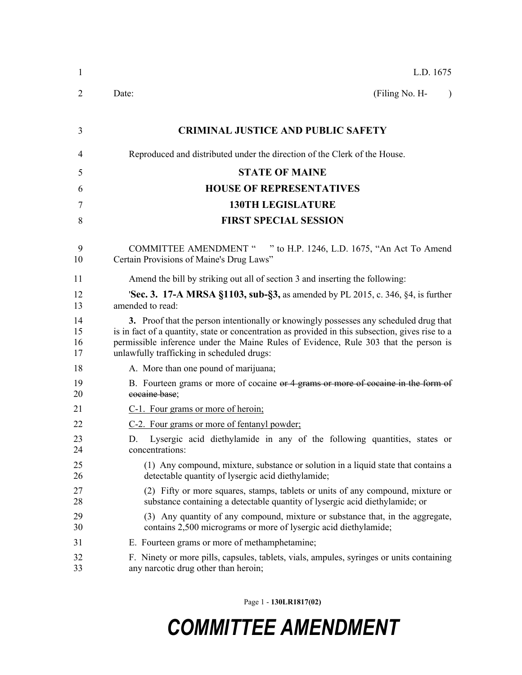| $\mathbf{1}$         | L.D. 1675                                                                                                                                                                                                                                                                                                                       |  |  |  |  |  |
|----------------------|---------------------------------------------------------------------------------------------------------------------------------------------------------------------------------------------------------------------------------------------------------------------------------------------------------------------------------|--|--|--|--|--|
| 2                    | (Filing No. H-<br>Date:<br>$\lambda$                                                                                                                                                                                                                                                                                            |  |  |  |  |  |
| 3                    | <b>CRIMINAL JUSTICE AND PUBLIC SAFETY</b>                                                                                                                                                                                                                                                                                       |  |  |  |  |  |
| 4                    | Reproduced and distributed under the direction of the Clerk of the House.                                                                                                                                                                                                                                                       |  |  |  |  |  |
| 5                    | <b>STATE OF MAINE</b>                                                                                                                                                                                                                                                                                                           |  |  |  |  |  |
| 6                    | <b>HOUSE OF REPRESENTATIVES</b>                                                                                                                                                                                                                                                                                                 |  |  |  |  |  |
| 7                    | <b>130TH LEGISLATURE</b>                                                                                                                                                                                                                                                                                                        |  |  |  |  |  |
| 8                    | <b>FIRST SPECIAL SESSION</b>                                                                                                                                                                                                                                                                                                    |  |  |  |  |  |
| 9<br>10              | " to H.P. 1246, L.D. 1675, "An Act To Amend<br><b>COMMITTEE AMENDMENT "</b><br>Certain Provisions of Maine's Drug Laws"                                                                                                                                                                                                         |  |  |  |  |  |
| 11                   | Amend the bill by striking out all of section 3 and inserting the following:                                                                                                                                                                                                                                                    |  |  |  |  |  |
| 12<br>13             | <b>Sec. 3. 17-A MRSA §1103, sub-§3, as amended by PL 2015, c. 346, §4, is further</b><br>amended to read:                                                                                                                                                                                                                       |  |  |  |  |  |
| 14<br>15<br>16<br>17 | 3. Proof that the person intentionally or knowingly possesses any scheduled drug that<br>is in fact of a quantity, state or concentration as provided in this subsection, gives rise to a<br>permissible inference under the Maine Rules of Evidence, Rule 303 that the person is<br>unlawfully trafficking in scheduled drugs: |  |  |  |  |  |
| 18                   | A. More than one pound of marijuana;                                                                                                                                                                                                                                                                                            |  |  |  |  |  |
| 19<br>20             | B. Fourteen grams or more of cocaine or 4 grams or more of cocaine in the form of<br>cocaine base;                                                                                                                                                                                                                              |  |  |  |  |  |
| 21                   | C-1. Four grams or more of heroin;                                                                                                                                                                                                                                                                                              |  |  |  |  |  |
| 22                   | C-2. Four grams or more of fentanyl powder;                                                                                                                                                                                                                                                                                     |  |  |  |  |  |
| 23<br>24             | Lysergic acid diethylamide in any of the following quantities, states or<br>D.<br>concentrations:                                                                                                                                                                                                                               |  |  |  |  |  |
| 25<br>26             | (1) Any compound, mixture, substance or solution in a liquid state that contains a<br>detectable quantity of lysergic acid diethylamide;                                                                                                                                                                                        |  |  |  |  |  |
| 27<br>28             | (2) Fifty or more squares, stamps, tablets or units of any compound, mixture or<br>substance containing a detectable quantity of lysergic acid diethylamide; or                                                                                                                                                                 |  |  |  |  |  |
| 29<br>30             | (3) Any quantity of any compound, mixture or substance that, in the aggregate,<br>contains 2,500 micrograms or more of lysergic acid diethylamide;                                                                                                                                                                              |  |  |  |  |  |
| 31                   | E. Fourteen grams or more of methamphetamine;                                                                                                                                                                                                                                                                                   |  |  |  |  |  |
| 32<br>33             | F. Ninety or more pills, capsules, tablets, vials, ampules, syringes or units containing<br>any narcotic drug other than heroin;                                                                                                                                                                                                |  |  |  |  |  |

Page 1 - **130LR1817(02)**

## *COMMITTEE AMENDMENT*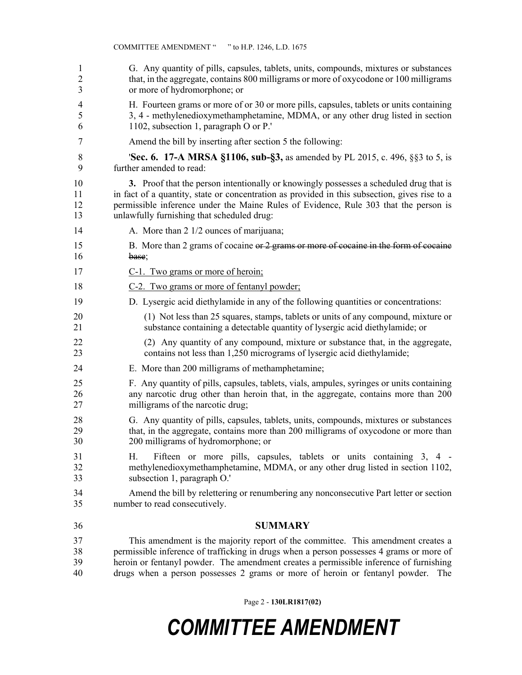| 1              | G. Any quantity of pills, capsules, tablets, units, compounds, mixtures or substances                                                                                                      |
|----------------|--------------------------------------------------------------------------------------------------------------------------------------------------------------------------------------------|
| 2              | that, in the aggregate, contains 800 milligrams or more of oxycodone or 100 milligrams                                                                                                     |
| 3              | or more of hydromorphone; or                                                                                                                                                               |
| 4              | H. Fourteen grams or more of or 30 or more pills, capsules, tablets or units containing                                                                                                    |
| 5              | 3, 4 - methylenedioxymethamphetamine, MDMA, or any other drug listed in section                                                                                                            |
| 6              | 1102, subsection 1, paragraph O or P.'                                                                                                                                                     |
| 7              | Amend the bill by inserting after section 5 the following:                                                                                                                                 |
| 8              | <b>Sec. 6. 17-A MRSA §1106, sub-§3,</b> as amended by PL 2015, c. 496, §§3 to 5, is                                                                                                        |
| 9              | further amended to read:                                                                                                                                                                   |
| 10             | 3. Proof that the person intentionally or knowingly possesses a scheduled drug that is                                                                                                     |
| 11             | in fact of a quantity, state or concentration as provided in this subsection, gives rise to a                                                                                              |
| 12             | permissible inference under the Maine Rules of Evidence, Rule 303 that the person is                                                                                                       |
| 13             | unlawfully furnishing that scheduled drug:                                                                                                                                                 |
| 14             | A. More than 2 1/2 ounces of marijuana;                                                                                                                                                    |
| 15             | B. More than 2 grams of cocaine or 2 grams or more of cocaine in the form of cocaine                                                                                                       |
| 16             | base;                                                                                                                                                                                      |
| 17             | C-1. Two grams or more of heroin;                                                                                                                                                          |
| 18             | C-2. Two grams or more of fentanyl powder;                                                                                                                                                 |
| 19             | D. Lysergic acid diethylamide in any of the following quantities or concentrations:                                                                                                        |
| 20             | (1) Not less than 25 squares, stamps, tablets or units of any compound, mixture or                                                                                                         |
| 21             | substance containing a detectable quantity of lysergic acid diethylamide; or                                                                                                               |
| 22             | (2) Any quantity of any compound, mixture or substance that, in the aggregate,                                                                                                             |
| 23             | contains not less than 1,250 micrograms of lysergic acid diethylamide;                                                                                                                     |
| 24             | E. More than 200 milligrams of methamphetamine;                                                                                                                                            |
| 25             | F. Any quantity of pills, capsules, tablets, vials, ampules, syringes or units containing                                                                                                  |
| 26             | any narcotic drug other than heroin that, in the aggregate, contains more than 200                                                                                                         |
| 27             | milligrams of the narcotic drug;                                                                                                                                                           |
| 28             | G. Any quantity of pills, capsules, tablets, units, compounds, mixtures or substances                                                                                                      |
| 29             | that, in the aggregate, contains more than 200 milligrams of oxycodone or more than                                                                                                        |
| 30             | 200 milligrams of hydromorphone; or                                                                                                                                                        |
| 31<br>32<br>33 | Fifteen or more pills, capsules, tablets or units containing 3, 4 -<br>Н.<br>methylenedioxymethamphetamine, MDMA, or any other drug listed in section 1102,<br>subsection 1, paragraph O.' |
| 34             | Amend the bill by relettering or renumbering any nonconsecutive Part letter or section                                                                                                     |
| 35             | number to read consecutively.                                                                                                                                                              |
| 36             | <b>SUMMARY</b>                                                                                                                                                                             |
| 37             | This amendment is the majority report of the committee. This amendment creates a                                                                                                           |
| 38             | permissible inference of trafficking in drugs when a person possesses 4 grams or more of                                                                                                   |
| 39             | heroin or fentanyl powder. The amendment creates a permissible inference of furnishing                                                                                                     |
| 40             | drugs when a person possesses 2 grams or more of heroin or fentanyl powder. The                                                                                                            |

Page 2 - **130LR1817(02)**

## *COMMITTEE AMENDMENT*